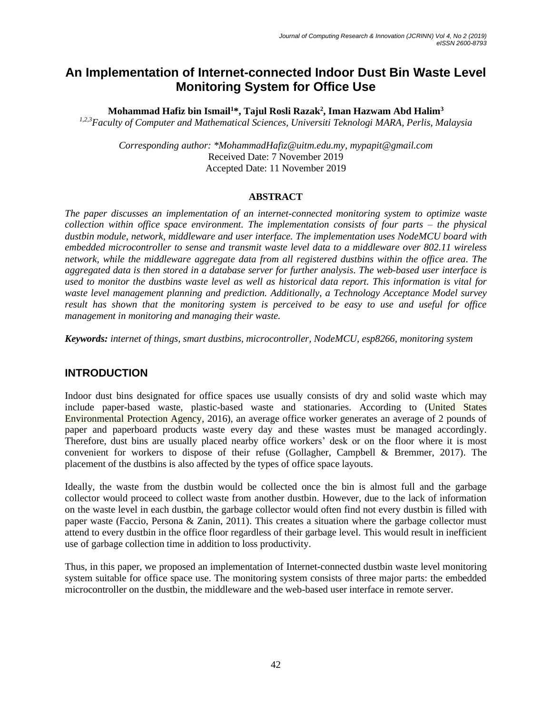# **An Implementation of Internet-connected Indoor Dust Bin Waste Level Monitoring System for Office Use**

**Mohammad Hafiz bin Ismail<sup>1</sup>\*, Tajul Rosli Razak<sup>2</sup> , Iman Hazwam Abd Halim<sup>3</sup>**

*1,2,3Faculty of Computer and Mathematical Sciences, Universiti Teknologi MARA, Perlis, Malaysia*

*Corresponding author: \*MohammadHafiz@uitm.edu.my, mypapit@gmail.com* Received Date: 7 November 2019 Accepted Date: 11 November 2019

#### **ABSTRACT**

*The paper discusses an implementation of an internet-connected monitoring system to optimize waste collection within office space environment. The implementation consists of four parts – the physical dustbin module, network, middleware and user interface. The implementation uses NodeMCU board with embedded microcontroller to sense and transmit waste level data to a middleware over 802.11 wireless network, while the middleware aggregate data from all registered dustbins within the office area. The aggregated data is then stored in a database server for further analysis. The web-based user interface is used to monitor the dustbins waste level as well as historical data report. This information is vital for waste level management planning and prediction. Additionally, a Technology Acceptance Model survey result has shown that the monitoring system is perceived to be easy to use and useful for office management in monitoring and managing their waste.* 

*Keywords: internet of things, smart dustbins, microcontroller, NodeMCU, esp8266, monitoring system*

### **INTRODUCTION**

Indoor dust bins designated for office spaces use usually consists of dry and solid waste which may include paper-based waste, plastic-based waste and stationaries. According to (United States Environmental Protection Agency, 2016), an average office worker generates an average of 2 pounds of paper and paperboard products waste every day and these wastes must be managed accordingly. Therefore, dust bins are usually placed nearby office workers' desk or on the floor where it is most convenient for workers to dispose of their refuse (Gollagher, Campbell & Bremmer, 2017). The placement of the dustbins is also affected by the types of office space layouts.

Ideally, the waste from the dustbin would be collected once the bin is almost full and the garbage collector would proceed to collect waste from another dustbin. However, due to the lack of information on the waste level in each dustbin, the garbage collector would often find not every dustbin is filled with paper waste (Faccio, Persona & Zanin, 2011). This creates a situation where the garbage collector must attend to every dustbin in the office floor regardless of their garbage level. This would result in inefficient use of garbage collection time in addition to loss productivity.

Thus, in this paper, we proposed an implementation of Internet-connected dustbin waste level monitoring system suitable for office space use. The monitoring system consists of three major parts: the embedded microcontroller on the dustbin, the middleware and the web-based user interface in remote server.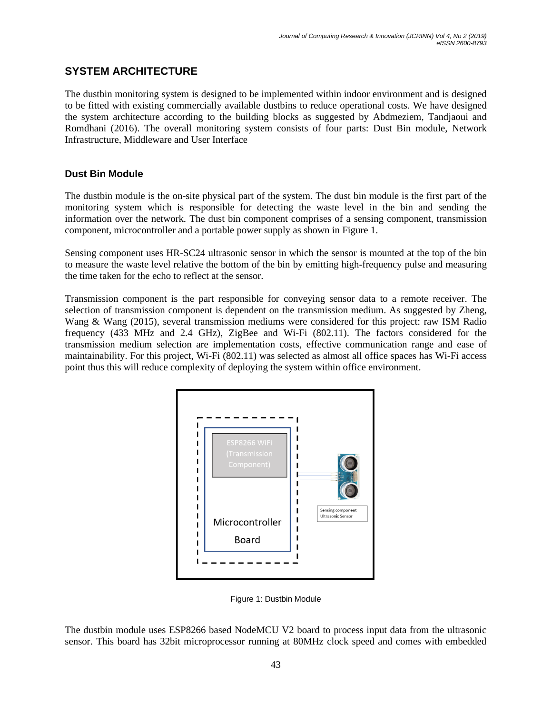# **SYSTEM ARCHITECTURE**

The dustbin monitoring system is designed to be implemented within indoor environment and is designed to be fitted with existing commercially available dustbins to reduce operational costs. We have designed the system architecture according to the building blocks as suggested by Abdmeziem, Tandjaoui and Romdhani (2016). The overall monitoring system consists of four parts: Dust Bin module, Network Infrastructure, Middleware and User Interface

### **Dust Bin Module**

The dustbin module is the on-site physical part of the system. The dust bin module is the first part of the monitoring system which is responsible for detecting the waste level in the bin and sending the information over the network. The dust bin component comprises of a sensing component, transmission component, microcontroller and a portable power supply as shown in Figure 1.

Sensing component uses HR-SC24 ultrasonic sensor in which the sensor is mounted at the top of the bin to measure the waste level relative the bottom of the bin by emitting high-frequency pulse and measuring the time taken for the echo to reflect at the sensor.

Transmission component is the part responsible for conveying sensor data to a remote receiver. The selection of transmission component is dependent on the transmission medium. As suggested by Zheng, Wang & Wang (2015), several transmission mediums were considered for this project: raw ISM Radio frequency (433 MHz and 2.4 GHz), ZigBee and Wi-Fi (802.11). The factors considered for the transmission medium selection are implementation costs, effective communication range and ease of maintainability. For this project, Wi-Fi (802.11) was selected as almost all office spaces has Wi-Fi access point thus this will reduce complexity of deploying the system within office environment.



Figure 1: Dustbin Module

The dustbin module uses ESP8266 based NodeMCU V2 board to process input data from the ultrasonic sensor. This board has 32bit microprocessor running at 80MHz clock speed and comes with embedded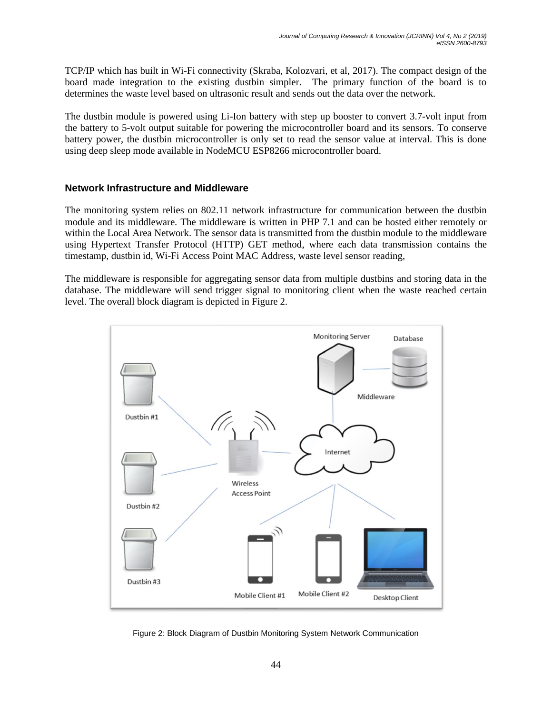TCP/IP which has built in Wi-Fi connectivity (Skraba, Kolozvari, et al, 2017). The compact design of the board made integration to the existing dustbin simpler. The primary function of the board is to determines the waste level based on ultrasonic result and sends out the data over the network.

The dustbin module is powered using Li-Ion battery with step up booster to convert 3.7-volt input from the battery to 5-volt output suitable for powering the microcontroller board and its sensors. To conserve battery power, the dustbin microcontroller is only set to read the sensor value at interval. This is done using deep sleep mode available in NodeMCU ESP8266 microcontroller board.

#### **Network Infrastructure and Middleware**

The monitoring system relies on 802.11 network infrastructure for communication between the dustbin module and its middleware. The middleware is written in PHP 7.1 and can be hosted either remotely or within the Local Area Network. The sensor data is transmitted from the dustbin module to the middleware using Hypertext Transfer Protocol (HTTP) GET method, where each data transmission contains the timestamp, dustbin id, Wi-Fi Access Point MAC Address, waste level sensor reading,

The middleware is responsible for aggregating sensor data from multiple dustbins and storing data in the database. The middleware will send trigger signal to monitoring client when the waste reached certain level. The overall block diagram is depicted in Figure 2.



Figure 2: Block Diagram of Dustbin Monitoring System Network Communication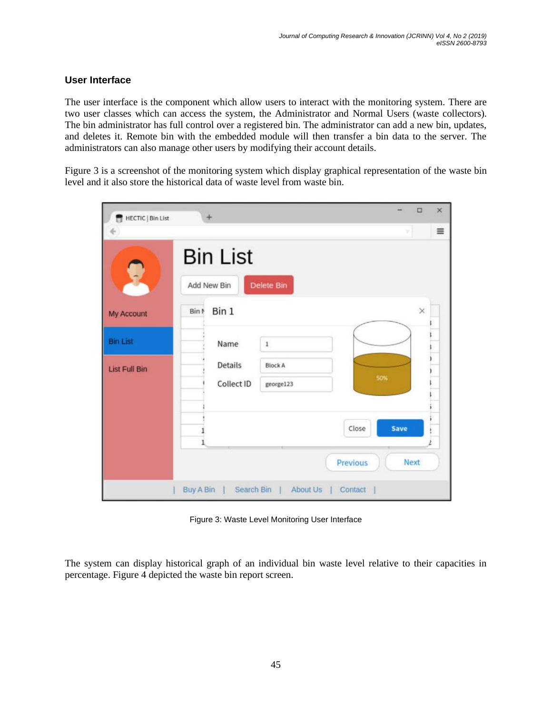#### **User Interface**

The user interface is the component which allow users to interact with the monitoring system. There are two user classes which can access the system, the Administrator and Normal Users (waste collectors). The bin administrator has full control over a registered bin. The administrator can add a new bin, updates, and deletes it. Remote bin with the embedded module will then transfer a bin data to the server. The administrators can also manage other users by modifying their account details.

Figure 3 is a screenshot of the monitoring system which display graphical representation of the waste bin level and it also store the historical data of waste level from waste bin.

| HECTIC   Bin List                       | $+$                                                                   |      | $\times$<br>$\Box$ |
|-----------------------------------------|-----------------------------------------------------------------------|------|--------------------|
| My Account                              | <b>Bin List</b><br>Delete Bin<br>Add New Bin<br>Bin 1<br>Bin N        |      | $\equiv$<br>×      |
| <b>Bin List</b><br><b>List Full Bin</b> | Name<br>$\,1$<br>Details<br><b>Block A</b><br>Collect ID<br>george123 | 50%  |                    |
|                                         | Close<br>Previous<br>Search Bin   About Us<br>Buy A Bin  <br>Contact  | Save | <b>Next</b>        |

Figure 3: Waste Level Monitoring User Interface

The system can display historical graph of an individual bin waste level relative to their capacities in percentage. Figure 4 depicted the waste bin report screen.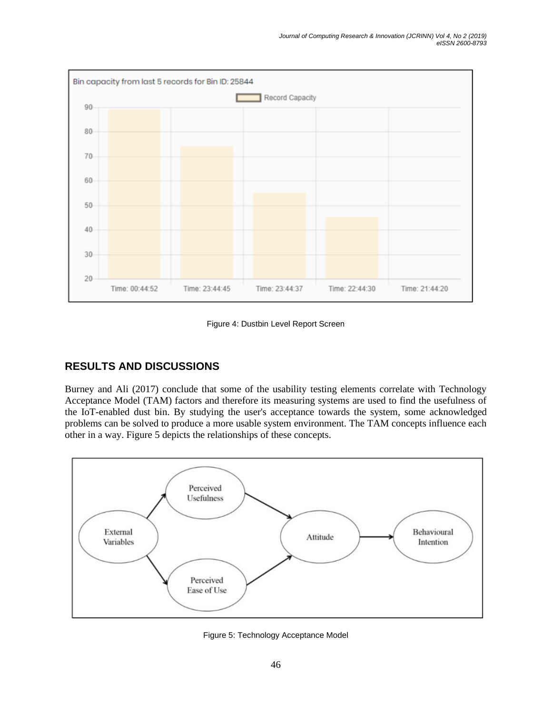

Figure 4: Dustbin Level Report Screen

## **RESULTS AND DISCUSSIONS**

Burney and Ali (2017) conclude that some of the usability testing elements correlate with Technology Acceptance Model (TAM) factors and therefore its measuring systems are used to find the usefulness of the IoT-enabled dust bin. By studying the user's acceptance towards the system, some acknowledged problems can be solved to produce a more usable system environment. The TAM concepts influence each other in a way. Figure 5 depicts the relationships of these concepts.



Figure 5: Technology Acceptance Model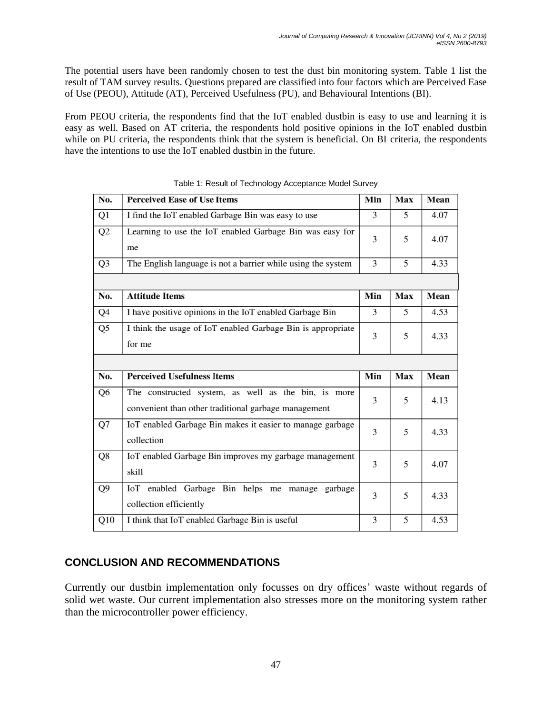The potential users have been randomly chosen to test the dust bin monitoring system. Table 1 list the result of TAM survey results. Questions prepared are classified into four factors which are Perceived Ease of Use (PEOU), Attitude (AT), Perceived Usefulness (PU), and Behavioural Intentions (BI).

From PEOU criteria, the respondents find that the IoT enabled dustbin is easy to use and learning it is easy as well. Based on AT criteria, the respondents hold positive opinions in the IoT enabled dustbin while on PU criteria, the respondents think that the system is beneficial. On BI criteria, the respondents have the intentions to use the IoT enabled dustbin in the future.

| No.            | <b>Perceived Ease of Use Items</b>                                                                          | Min | Max | Mean |
|----------------|-------------------------------------------------------------------------------------------------------------|-----|-----|------|
| Q1             | I find the IoT enabled Garbage Bin was easy to use                                                          | 3   | 5   | 4.07 |
| Q2             | Learning to use the IoT enabled Garbage Bin was easy for<br>me                                              | 3   | 5   | 4.07 |
| Q <sub>3</sub> | The English language is not a barrier while using the system                                                | 3   | 5   | 4.33 |
|                |                                                                                                             |     |     |      |
| No.            | <b>Attitude Items</b>                                                                                       | Min | Max | Mean |
| Q4             | I have positive opinions in the IoT enabled Garbage Bin                                                     | 3   | 5   | 4.53 |
| Q5             | I think the usage of IoT enabled Garbage Bin is appropriate<br>for me                                       | 3   | 5   | 4.33 |
|                |                                                                                                             |     |     |      |
|                |                                                                                                             |     |     |      |
| No.            | <b>Perceived Usefulness Items</b>                                                                           | Min | Max | Mean |
| Q <sub>6</sub> | The constructed system, as well as the bin, is more<br>convenient than other traditional garbage management | 3   | 5   | 4.13 |
| Q7             | IoT enabled Garbage Bin makes it easier to manage garbage<br>collection                                     | 3   | 5   | 4.33 |
| Q8             | IoT enabled Garbage Bin improves my garbage management<br>skill                                             | 3   | 5   | 4.07 |
| Q <sub>9</sub> | IoT enabled Garbage Bin helps me manage garbage<br>collection efficiently                                   | 3   | 5   | 4.33 |

Table 1: Result of Technology Acceptance Model Survey

# **CONCLUSION AND RECOMMENDATIONS**

Currently our dustbin implementation only focusses on dry offices' waste without regards of solid wet waste. Our current implementation also stresses more on the monitoring system rather than the microcontroller power efficiency.